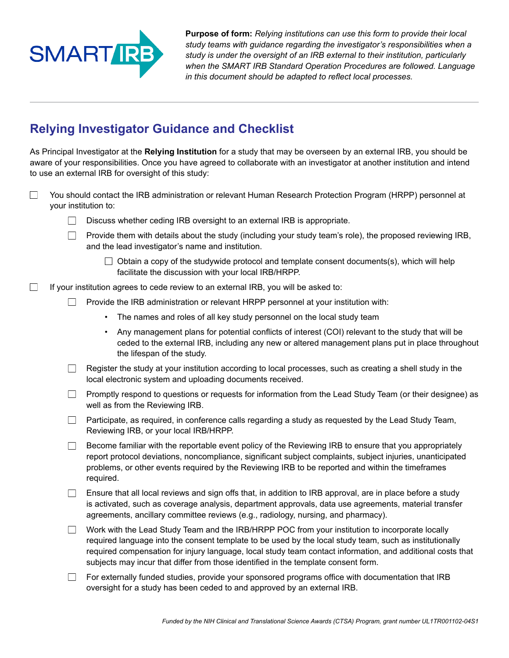

**Purpose of form:** *Relying institutions can use this form to provide their local study teams with guidance regarding the investigator's responsibilities when a study is under the oversight of an IRB external to their institution, particularly when the SMART IRB Standard Operation Procedures are followed. Language in this document should be adapted to reflect local processes.*

## **Relying Investigator Guidance and Checklist**

As Principal Investigator at the **Relying Institution** for a study that may be overseen by an external IRB, you should be aware of your responsibilities. Once you have agreed to collaborate with an investigator at another institution and intend to use an external IRB for oversight of this study:

- $\Box$ You should contact the IRB administration or relevant Human Research Protection Program (HRPP) personnel at your institution to:
	- $\Box$  Discuss whether ceding IRB oversight to an external IRB is appropriate.
	- $\Box$  Provide them with details about the study (including your study team's role), the proposed reviewing IRB, and the lead investigator's name and institution.
		- $\Box$  Obtain a copy of the studywide protocol and template consent documents(s), which will help facilitate the discussion with your local IRB/HRPP.
- $\Box$ If your institution agrees to cede review to an external IRB, you will be asked to:
	- $\Box$  Provide the IRB administration or relevant HRPP personnel at your institution with:
		- The names and roles of all key study personnel on the local study team
		- • Any management plans for potential conflicts of interest (COI) relevant to the study that will be ceded to the external IRB, including any new or altered management plans put in place throughout the lifespan of the study.
	- $\Box$  Register the study at your institution according to local processes, such as creating a shell study in the local electronic system and uploading documents received.
	- **Promptly respond to questions or requests for information from the Lead Study Team (or their designee) as** well as from the Reviewing IRB.
	- $\Box$  Participate, as required, in conference calls regarding a study as requested by the Lead Study Team, Reviewing IRB, or your local IRB/HRPP.
	- $\Box$  Become familiar with the reportable event policy of the Reviewing IRB to ensure that you appropriately report protocol deviations, noncompliance, significant subject complaints, subject injuries, unanticipated problems, or other events required by the Reviewing IRB to be reported and within the timeframes required.
	- $\Box$  Ensure that all local reviews and sign offs that, in addition to IRB approval, are in place before a study is activated, such as coverage analysis, department approvals, data use agreements, material transfer agreements, ancillary committee reviews (e.g., radiology, nursing, and pharmacy).
	- $\Box$  Work with the Lead Study Team and the IRB/HRPP POC from your institution to incorporate locally required language into the consent template to be used by the local study team, such as institutionally required compensation for injury language, local study team contact information, and additional costs that subjects may incur that differ from those identified in the template consent form.
	- $\Box$  For externally funded studies, provide your sponsored programs office with documentation that IRB oversight for a study has been ceded to and approved by an external IRB.